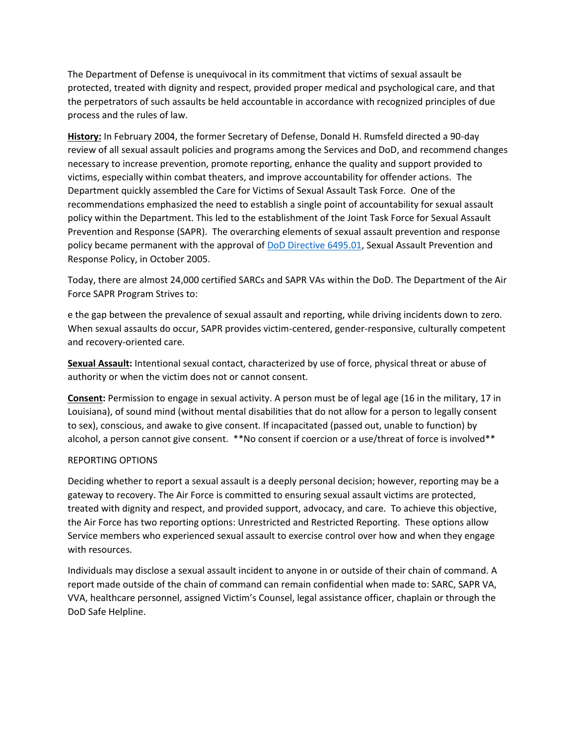The Department of Defense is unequivocal in its commitment that victims of sexual assault be protected, treated with dignity and respect, provided proper medical and psychological care, and that the perpetrators of such assaults be held accountable in accordance with recognized principles of due process and the rules of law.

**History:** In February 2004, the former Secretary of Defense, Donald H. Rumsfeld directed a 90-day review of all sexual assault policies and programs among the Services and DoD, and recommend changes necessary to increase prevention, promote reporting, enhance the quality and support provided to victims, especially within combat theaters, and improve accountability for offender actions. The Department quickly assembled the Care for Victims of Sexual Assault Task Force. One of the recommendations emphasized the need to establish a single point of accountability for sexual assault policy within the Department. This led to the establishment of the Joint Task Force for Sexual Assault Prevention and Response (SAPR). The overarching elements of sexual assault prevention and response policy became permanent with the approval of [DoD Directive 6495.01,](https://www.sapr.mil/public/docs/directives/649501p.pdf) Sexual Assault Prevention and Response Policy, in October 2005.

Today, there are almost 24,000 certified SARCs and SAPR VAs within the DoD. The Department of the Air Force SAPR Program Strives to:

e the gap between the prevalence of sexual assault and reporting, while driving incidents down to zero. When sexual assaults do occur, SAPR provides victim-centered, gender-responsive, culturally competent and recovery-oriented care.

**Sexual Assault:** Intentional sexual contact, characterized by use of force, physical threat or abuse of authority or when the victim does not or cannot consent.

**Consent:** Permission to engage in sexual activity. A person must be of legal age (16 in the military, 17 in Louisiana), of sound mind (without mental disabilities that do not allow for a person to legally consent to sex), conscious, and awake to give consent. If incapacitated (passed out, unable to function) by alcohol, a person cannot give consent. \*\*No consent if coercion or a use/threat of force is involved\*\*

## REPORTING OPTIONS

Deciding whether to report a sexual assault is a deeply personal decision; however, reporting may be a gateway to recovery. The Air Force is committed to ensuring sexual assault victims are protected, treated with dignity and respect, and provided support, advocacy, and care. To achieve this objective, the Air Force has two reporting options: Unrestricted and Restricted Reporting. These options allow Service members who experienced sexual assault to exercise control over how and when they engage with resources.

Individuals may disclose a sexual assault incident to anyone in or outside of their chain of command. A report made outside of the chain of command can remain confidential when made to: SARC, SAPR VA, VVA, healthcare personnel, assigned Victim's Counsel, legal assistance officer, chaplain or through the DoD Safe Helpline.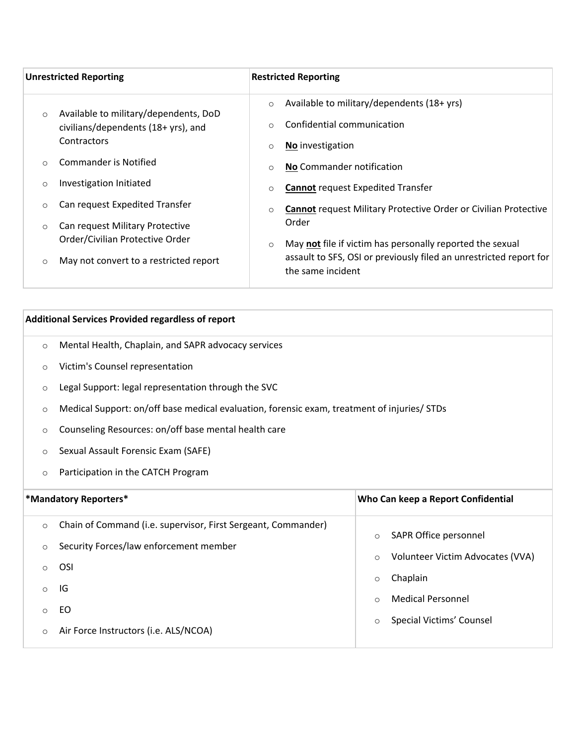| <b>Unrestricted Reporting</b> |                                                    | <b>Restricted Reporting</b>                                                   |                                                                                         |
|-------------------------------|----------------------------------------------------|-------------------------------------------------------------------------------|-----------------------------------------------------------------------------------------|
|                               | Available to military/dependents, DoD              | $\circ$                                                                       | Available to military/dependents (18+ yrs)                                              |
| $\circ$                       | civilians/dependents (18+ yrs), and<br>Contractors |                                                                               | Confidential communication                                                              |
|                               |                                                    | $\circ$                                                                       | <b>No</b> investigation                                                                 |
|                               | Commander is Notified                              | $\circ$                                                                       | No Commander notification                                                               |
| $\circ$                       | Investigation Initiated                            | $\circ$                                                                       | <b>Cannot request Expedited Transfer</b>                                                |
| $\circ$                       | Can request Expedited Transfer                     | $\circ$                                                                       | <b>Cannot request Military Protective Order or Civilian Protective</b>                  |
| $\circ$                       | Can request Military Protective                    | Order<br>May not file if victim has personally reported the sexual<br>$\circ$ |                                                                                         |
|                               | Order/Civilian Protective Order                    |                                                                               |                                                                                         |
|                               | May not convert to a restricted report             |                                                                               | assault to SFS, OSI or previously filed an unrestricted report for<br>the same incident |

## **Additional Services Provided regardless of report**

- o Mental Health, Chaplain, and SAPR advocacy services
- o Victim's Counsel representation
- o Legal Support: legal representation through the SVC
- o Medical Support: on/off base medical evaluation, forensic exam, treatment of injuries/ STDs
- o Counseling Resources: on/off base mental health care
- o Sexual Assault Forensic Exam (SAFE)
- o Participation in the CATCH Program

| *Mandatory Reporters*                                                                                                                                                                                                                         | Who Can keep a Report Confidential                                                                                                                                                     |
|-----------------------------------------------------------------------------------------------------------------------------------------------------------------------------------------------------------------------------------------------|----------------------------------------------------------------------------------------------------------------------------------------------------------------------------------------|
| Chain of Command (i.e. supervisor, First Sergeant, Commander)<br>$\circ$<br>Security Forces/law enforcement member<br>$\circ$<br><b>OSI</b><br>$\circ$<br>IG<br>$\circ$<br>EO.<br>$\circ$<br>Air Force Instructors (i.e. ALS/NCOA)<br>$\circ$ | SAPR Office personnel<br>$\circ$<br>Volunteer Victim Advocates (VVA)<br>$\circ$<br>Chaplain<br>$\circ$<br><b>Medical Personnel</b><br>$\Omega$<br>Special Victims' Counsel<br>$\Omega$ |
|                                                                                                                                                                                                                                               |                                                                                                                                                                                        |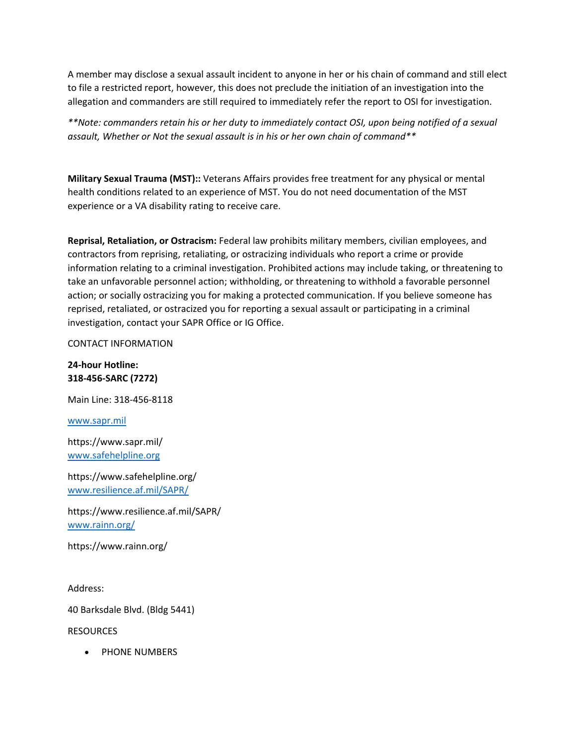A member may disclose a sexual assault incident to anyone in her or his chain of command and still elect to file a restricted report, however, this does not preclude the initiation of an investigation into the allegation and commanders are still required to immediately refer the report to OSI for investigation.

*\*\*Note: commanders retain his or her duty to immediately contact OSI, upon being notified of a sexual assault, Whether or Not the sexual assault is in his or her own chain of command\*\**

**Military Sexual Trauma (MST)::** Veterans Affairs provides free treatment for any physical or mental health conditions related to an experience of MST. You do not need documentation of the MST experience or a VA disability rating to receive care.

**Reprisal, Retaliation, or Ostracism:** Federal law prohibits military members, civilian employees, and contractors from reprising, retaliating, or ostracizing individuals who report a crime or provide information relating to a criminal investigation. Prohibited actions may include taking, or threatening to take an unfavorable personnel action; withholding, or threatening to withhold a favorable personnel action; or socially ostracizing you for making a protected communication. If you believe someone has reprised, retaliated, or ostracized you for reporting a sexual assault or participating in a criminal investigation, contact your SAPR Office or IG Office.

CONTACT INFORMATION

**24-hour Hotline: 318-456-SARC (7272)**

Main Line: 318-456-8118

[www.sapr.mil](https://www.sapr.mil/)

https://www.sapr.mil/ [www.safehelpline.org](https://www.safehelpline.org/)

https://www.safehelpline.org/ [www.resilience.af.mil/SAPR/](https://www.resilience.af.mil/SAPR/)

https://www.resilience.af.mil/SAPR/ [www.rainn.org/](https://www.rainn.org/)

https://www.rainn.org/

Address:

40 Barksdale Blvd. (Bldg 5441)

**RESOURCES** 

• PHONE NUMBERS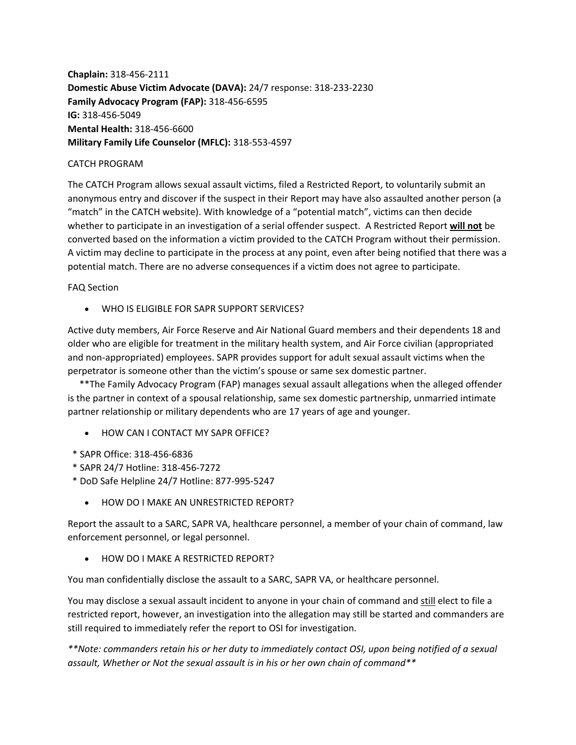**Chaplain:** 318-456-2111 **Domestic Abuse Victim Advocate (DAVA):** 24/7 response: 318-233-2230 **Family Advocacy Program (FAP):** 318-456-6595 **IG:** 318-456-5049 **Mental Health:** 318-456-6600 **Military Family Life Counselor (MFLC):** 318-553-4597

## CATCH PROGRAM

The CATCH Program allows sexual assault victims, filed a Restricted Report, to voluntarily submit an anonymous entry and discover if the suspect in their Report may have also assaulted another person (a "match" in the CATCH website). With knowledge of a "potential match", victims can then decide whether to participate in an investigation of a serial offender suspect. A Restricted Report **will not** be converted based on the information a victim provided to the CATCH Program without their permission. A victim may decline to participate in the process at any point, even after being notified that there was a potential match. There are no adverse consequences if a victim does not agree to participate.

## FAQ Section

WHO IS ELIGIBLE FOR SAPR SUPPORT SERVICES?

Active duty members, Air Force Reserve and Air National Guard members and their dependents 18 and older who are eligible for treatment in the military health system, and Air Force civilian (appropriated and non-appropriated) employees. SAPR provides support for adult sexual assault victims when the perpetrator is someone other than the victim's spouse or same sex domestic partner.

 \*\*The Family Advocacy Program (FAP) manages sexual assault allegations when the alleged offender is the partner in context of a spousal relationship, same sex domestic partnership, unmarried intimate partner relationship or military dependents who are 17 years of age and younger.

- **HOW CAN LCONTACT MY SAPR OFFICE?**
- \* SAPR Office: 318-456-6836
- \* SAPR 24/7 Hotline: 318-456-7272
- \* DoD Safe Helpline 24/7 Hotline: 877-995-5247
	- **HOW DO I MAKE AN UNRESTRICTED REPORT?**

Report the assault to a SARC, SAPR VA, healthcare personnel, a member of your chain of command, law enforcement personnel, or legal personnel.

HOW DO I MAKE A RESTRICTED REPORT?

You man confidentially disclose the assault to a SARC, SAPR VA, or healthcare personnel.

You may disclose a sexual assault incident to anyone in your chain of command and still elect to file a restricted report, however, an investigation into the allegation may still be started and commanders are still required to immediately refer the report to OSI for investigation.

*\*\*Note: commanders retain his or her duty to immediately contact OSI, upon being notified of a sexual assault, Whether or Not the sexual assault is in his or her own chain of command\*\**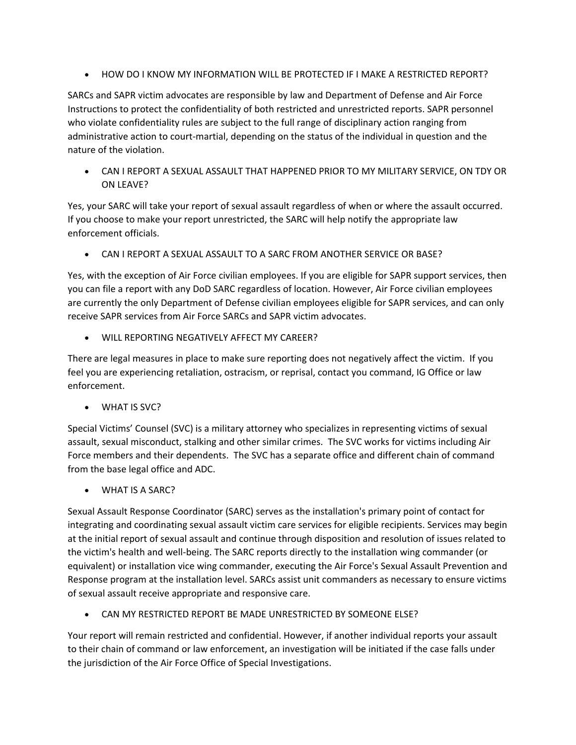HOW DO I KNOW MY INFORMATION WILL BE PROTECTED IF I MAKE A RESTRICTED REPORT?

SARCs and SAPR victim advocates are responsible by law and Department of Defense and Air Force Instructions to protect the confidentiality of both restricted and unrestricted reports. SAPR personnel who violate confidentiality rules are subject to the full range of disciplinary action ranging from administrative action to court-martial, depending on the status of the individual in question and the nature of the violation.

 CAN I REPORT A SEXUAL ASSAULT THAT HAPPENED PRIOR TO MY MILITARY SERVICE, ON TDY OR ON LEAVE?

Yes, your SARC will take your report of sexual assault regardless of when or where the assault occurred. If you choose to make your report unrestricted, the SARC will help notify the appropriate law enforcement officials.

CAN I REPORT A SEXUAL ASSAULT TO A SARC FROM ANOTHER SERVICE OR BASE?

Yes, with the exception of Air Force civilian employees. If you are eligible for SAPR support services, then you can file a report with any DoD SARC regardless of location. However, Air Force civilian employees are currently the only Department of Defense civilian employees eligible for SAPR services, and can only receive SAPR services from Air Force SARCs and SAPR victim advocates.

WILL REPORTING NEGATIVELY AFFECT MY CAREER?

There are legal measures in place to make sure reporting does not negatively affect the victim. If you feel you are experiencing retaliation, ostracism, or reprisal, contact you command, IG Office or law enforcement.

WHAT IS SVC?

Special Victims' Counsel (SVC) is a military attorney who specializes in representing victims of sexual assault, sexual misconduct, stalking and other similar crimes. The SVC works for victims including Air Force members and their dependents. The SVC has a separate office and different chain of command from the base legal office and ADC.

WHAT IS A SARC?

Sexual Assault Response Coordinator (SARC) serves as the installation's primary point of contact for integrating and coordinating sexual assault victim care services for eligible recipients. Services may begin at the initial report of sexual assault and continue through disposition and resolution of issues related to the victim's health and well-being. The SARC reports directly to the installation wing commander (or equivalent) or installation vice wing commander, executing the Air Force's Sexual Assault Prevention and Response program at the installation level. SARCs assist unit commanders as necessary to ensure victims of sexual assault receive appropriate and responsive care.

CAN MY RESTRICTED REPORT BE MADE UNRESTRICTED BY SOMEONE ELSE?

Your report will remain restricted and confidential. However, if another individual reports your assault to their chain of command or law enforcement, an investigation will be initiated if the case falls under the jurisdiction of the Air Force Office of Special Investigations.